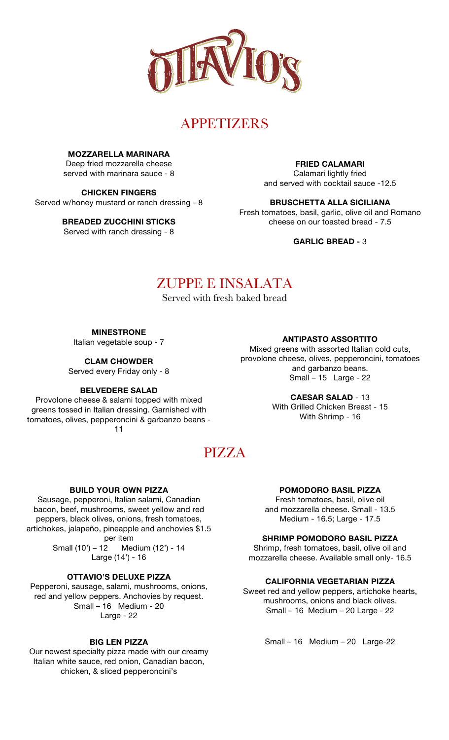

# **APPETIZERS**

**MOZZARELLA MARINARA**

Deep fried mozzarella cheese served with marinara sauce - 8

**CHICKEN FINGERS**

Served w/honey mustard or ranch dressing - 8

**BREADED ZUCCHINI STICKS**

Served with ranch dressing - 8

**FRIED CALAMARI**

Calamari lightly fried and served with cocktail sauce -12.5

# **BRUSCHETTA ALLA SICILIANA**

Fresh tomatoes, basil, garlic, olive oil and Romano cheese on our toasted bread - 7.5

**GARLIC BREAD -** 3

# ZUPPE E INSALATA

Served with fresh baked bread

**MINESTRONE**

Italian vegetable soup - 7

**CLAM CHOWDER**

Served every Friday only - 8

# **BELVEDERE SALAD**

Provolone cheese & salami topped with mixed greens tossed in Italian dressing. Garnished with tomatoes, olives, pepperoncini & garbanzo beans - 11

**ANTIPASTO ASSORTITO**

Mixed greens with assorted Italian cold cuts, provolone cheese, olives, pepperoncini, tomatoes and garbanzo beans. Small – 15 Large - 22

> **CAESAR SALAD** - 13 With Grilled Chicken Breast - 15 With Shrimp - 16

# PIZZA

# **BUILD YOUR OWN PIZZA**

Sausage, pepperoni, Italian salami, Canadian bacon, beef, mushrooms, sweet yellow and red peppers, black olives, onions, fresh tomatoes, artichokes, jalapeño, pineapple and anchovies \$1.5 per item Small (10') – 12 Medium (12') - 14 Large (14') - 16

## **OTTAVIO'S DELUXE PIZZA**

Pepperoni, sausage, salami, mushrooms, onions, red and yellow peppers. Anchovies by request. Small – 16 Medium - 20 Large - 22

## **BIG LEN PIZZA**

Our newest specialty pizza made with our creamy Italian white sauce, red onion, Canadian bacon, chicken, & sliced pepperoncini's

# **POMODORO BASIL PIZZA**

Fresh tomatoes, basil, olive oil and mozzarella cheese. Small - 13.5 Medium - 16.5; Large - 17.5

# **SHRIMP POMODORO BASIL PIZZA**

Shrimp, fresh tomatoes, basil, olive oil and mozzarella cheese. Available small only- 16.5

# **CALIFORNIA VEGETARIAN PIZZA**

Sweet red and yellow peppers, artichoke hearts, mushrooms, onions and black olives. Small – 16 Medium – 20 Large - 22

Small – 16 Medium – 20 Large-22